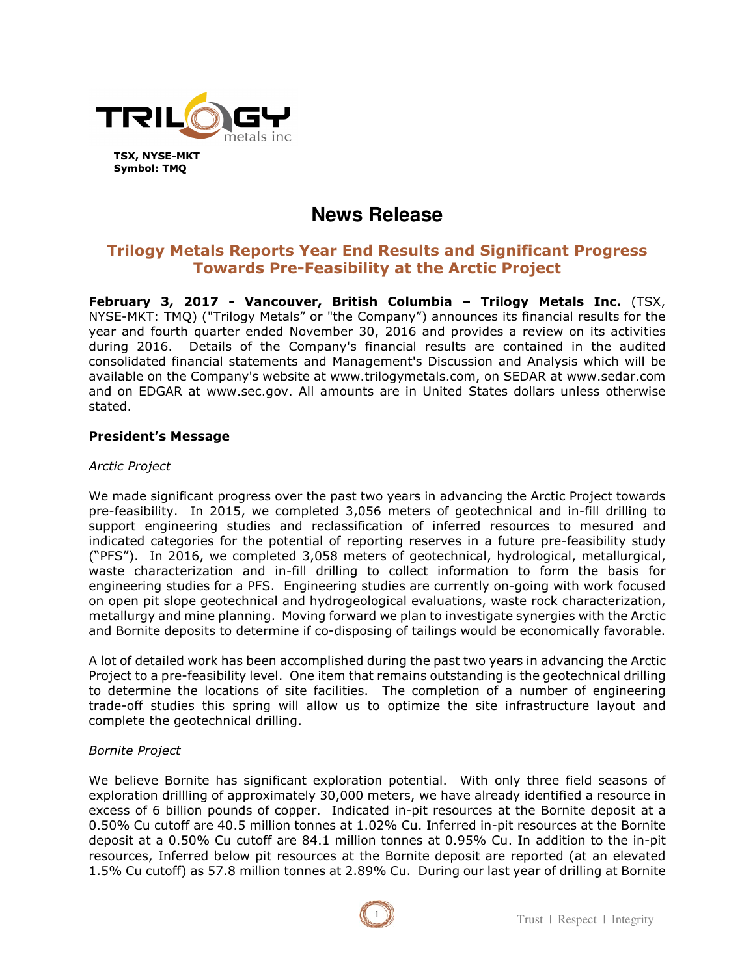

# **News Release**

## **Trilogy Metals Reports Year End Results and Significant Progress Towards Pre-Feasibility at the Arctic Project**

**February 3, 2017 - Vancouver, British Columbia – Trilogy Metals Inc.** (TSX, NYSE-MKT: TMQ) ("Trilogy Metals" or "the Company") announces its financial results for the year and fourth quarter ended November 30, 2016 and provides a review on its activities during 2016. Details of the Company's financial results are contained in the audited consolidated financial statements and Management's Discussion and Analysis which will be available on the Company's website at www.trilogymetals.com, on SEDAR at www.sedar.com and on EDGAR at www.sec.gov. All amounts are in United States dollars unless otherwise stated.

## **President's Message**

#### *Arctic Project*

We made significant progress over the past two years in advancing the Arctic Project towards pre-feasibility. In 2015, we completed 3,056 meters of geotechnical and in-fill drilling to support engineering studies and reclassification of inferred resources to mesured and indicated categories for the potential of reporting reserves in a future pre-feasibility study ("PFS"). In 2016, we completed 3,058 meters of geotechnical, hydrological, metallurgical, waste characterization and in-fill drilling to collect information to form the basis for engineering studies for a PFS. Engineering studies are currently on-going with work focused on open pit slope geotechnical and hydrogeological evaluations, waste rock characterization, metallurgy and mine planning. Moving forward we plan to investigate synergies with the Arctic and Bornite deposits to determine if co-disposing of tailings would be economically favorable.

A lot of detailed work has been accomplished during the past two years in advancing the Arctic Project to a pre-feasibility level. One item that remains outstanding is the geotechnical drilling to determine the locations of site facilities. The completion of a number of engineering trade-off studies this spring will allow us to optimize the site infrastructure layout and complete the geotechnical drilling.

#### *Bornite Project*

We believe Bornite has significant exploration potential. With only three field seasons of exploration drillling of approximately 30,000 meters, we have already identified a resource in excess of 6 billion pounds of copper. Indicated in-pit resources at the Bornite deposit at a 0.50% Cu cutoff are 40.5 million tonnes at 1.02% Cu. Inferred in-pit resources at the Bornite deposit at a 0.50% Cu cutoff are 84.1 million tonnes at 0.95% Cu. In addition to the in-pit resources, Inferred below pit resources at the Bornite deposit are reported (at an elevated 1.5% Cu cutoff) as 57.8 million tonnes at 2.89% Cu. During our last year of drilling at Bornite

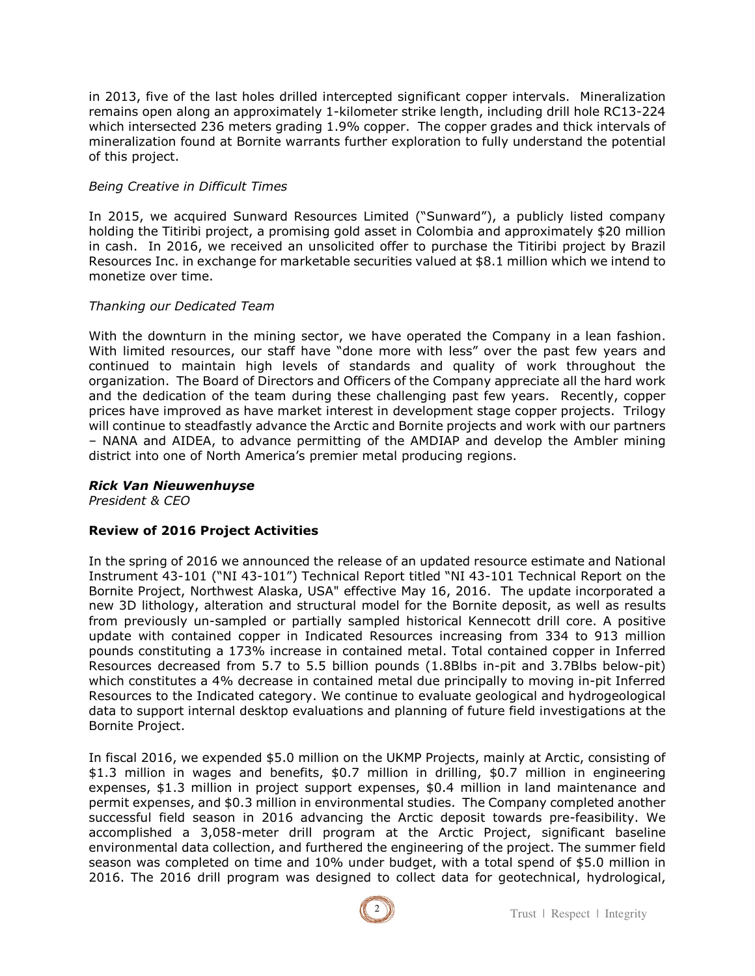in 2013, five of the last holes drilled intercepted significant copper intervals. Mineralization remains open along an approximately 1-kilometer strike length, including drill hole RC13-224 which intersected 236 meters grading 1.9% copper. The copper grades and thick intervals of mineralization found at Bornite warrants further exploration to fully understand the potential of this project.

## *Being Creative in Difficult Times*

In 2015, we acquired Sunward Resources Limited ("Sunward"), a publicly listed company holding the Titiribi project, a promising gold asset in Colombia and approximately \$20 million in cash. In 2016, we received an unsolicited offer to purchase the Titiribi project by Brazil Resources Inc. in exchange for marketable securities valued at \$8.1 million which we intend to monetize over time.

## *Thanking our Dedicated Team*

With the downturn in the mining sector, we have operated the Company in a lean fashion. With limited resources, our staff have "done more with less" over the past few years and continued to maintain high levels of standards and quality of work throughout the organization. The Board of Directors and Officers of the Company appreciate all the hard work and the dedication of the team during these challenging past few years. Recently, copper prices have improved as have market interest in development stage copper projects. Trilogy will continue to steadfastly advance the Arctic and Bornite projects and work with our partners – NANA and AIDEA, to advance permitting of the AMDIAP and develop the Ambler mining district into one of North America's premier metal producing regions.

## *Rick Van Nieuwenhuyse*

*President & CEO* 

## **Review of 2016 Project Activities**

In the spring of 2016 we announced the release of an updated resource estimate and National Instrument 43-101 ("NI 43-101") Technical Report titled "NI 43-101 Technical Report on the Bornite Project, Northwest Alaska, USA" effective May 16, 2016. The update incorporated a new 3D lithology, alteration and structural model for the Bornite deposit, as well as results from previously un-sampled or partially sampled historical Kennecott drill core. A positive update with contained copper in Indicated Resources increasing from 334 to 913 million pounds constituting a 173% increase in contained metal. Total contained copper in Inferred Resources decreased from 5.7 to 5.5 billion pounds (1.8Blbs in-pit and 3.7Blbs below-pit) which constitutes a 4% decrease in contained metal due principally to moving in-pit Inferred Resources to the Indicated category. We continue to evaluate geological and hydrogeological data to support internal desktop evaluations and planning of future field investigations at the Bornite Project.

In fiscal 2016, we expended \$5.0 million on the UKMP Projects, mainly at Arctic, consisting of \$1.3 million in wages and benefits, \$0.7 million in drilling, \$0.7 million in engineering expenses, \$1.3 million in project support expenses, \$0.4 million in land maintenance and permit expenses, and \$0.3 million in environmental studies. The Company completed another successful field season in 2016 advancing the Arctic deposit towards pre-feasibility. We accomplished a 3,058-meter drill program at the Arctic Project, significant baseline environmental data collection, and furthered the engineering of the project. The summer field season was completed on time and 10% under budget, with a total spend of \$5.0 million in 2016. The 2016 drill program was designed to collect data for geotechnical, hydrological,

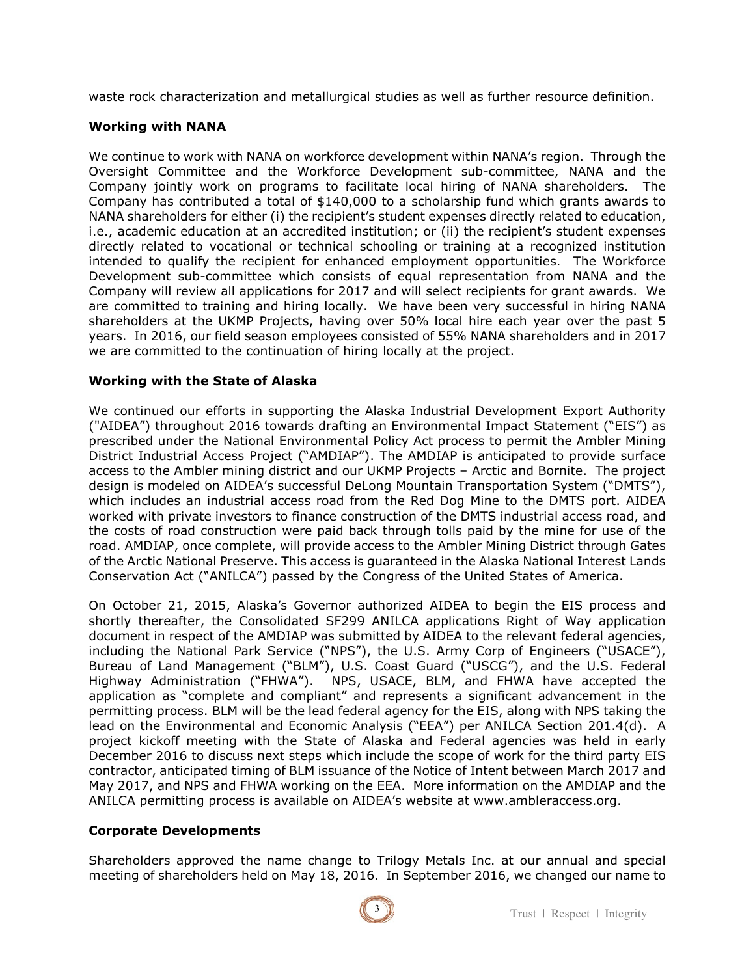waste rock characterization and metallurgical studies as well as further resource definition.

## **Working with NANA**

We continue to work with NANA on workforce development within NANA's region. Through the Oversight Committee and the Workforce Development sub-committee, NANA and the Company jointly work on programs to facilitate local hiring of NANA shareholders. The Company has contributed a total of \$140,000 to a scholarship fund which grants awards to NANA shareholders for either (i) the recipient's student expenses directly related to education, i.e., academic education at an accredited institution; or (ii) the recipient's student expenses directly related to vocational or technical schooling or training at a recognized institution intended to qualify the recipient for enhanced employment opportunities. The Workforce Development sub-committee which consists of equal representation from NANA and the Company will review all applications for 2017 and will select recipients for grant awards. We are committed to training and hiring locally. We have been very successful in hiring NANA shareholders at the UKMP Projects, having over 50% local hire each year over the past 5 years. In 2016, our field season employees consisted of 55% NANA shareholders and in 2017 we are committed to the continuation of hiring locally at the project.

## **Working with the State of Alaska**

We continued our efforts in supporting the Alaska Industrial Development Export Authority ("AIDEA") throughout 2016 towards drafting an Environmental Impact Statement ("EIS") as prescribed under the National Environmental Policy Act process to permit the Ambler Mining District Industrial Access Project ("AMDIAP"). The AMDIAP is anticipated to provide surface access to the Ambler mining district and our UKMP Projects – Arctic and Bornite. The project design is modeled on AIDEA's successful DeLong Mountain Transportation System ("DMTS"), which includes an industrial access road from the Red Dog Mine to the DMTS port. AIDEA worked with private investors to finance construction of the DMTS industrial access road, and the costs of road construction were paid back through tolls paid by the mine for use of the road. AMDIAP, once complete, will provide access to the Ambler Mining District through Gates of the Arctic National Preserve. This access is guaranteed in the Alaska National Interest Lands Conservation Act ("ANILCA") passed by the Congress of the United States of America.

On October 21, 2015, Alaska's Governor authorized AIDEA to begin the EIS process and shortly thereafter, the Consolidated SF299 ANILCA applications Right of Way application document in respect of the AMDIAP was submitted by AIDEA to the relevant federal agencies, including the National Park Service ("NPS"), the U.S. Army Corp of Engineers ("USACE"), Bureau of Land Management ("BLM"), U.S. Coast Guard ("USCG"), and the U.S. Federal Highway Administration ("FHWA"). NPS, USACE, BLM, and FHWA have accepted the application as "complete and compliant" and represents a significant advancement in the permitting process. BLM will be the lead federal agency for the EIS, along with NPS taking the lead on the Environmental and Economic Analysis ("EEA") per ANILCA Section 201.4(d). A project kickoff meeting with the State of Alaska and Federal agencies was held in early December 2016 to discuss next steps which include the scope of work for the third party EIS contractor, anticipated timing of BLM issuance of the Notice of Intent between March 2017 and May 2017, and NPS and FHWA working on the EEA. More information on the AMDIAP and the ANILCA permitting process is available on AIDEA's website at www.ambleraccess.org.

## **Corporate Developments**

Shareholders approved the name change to Trilogy Metals Inc. at our annual and special meeting of shareholders held on May 18, 2016. In September 2016, we changed our name to

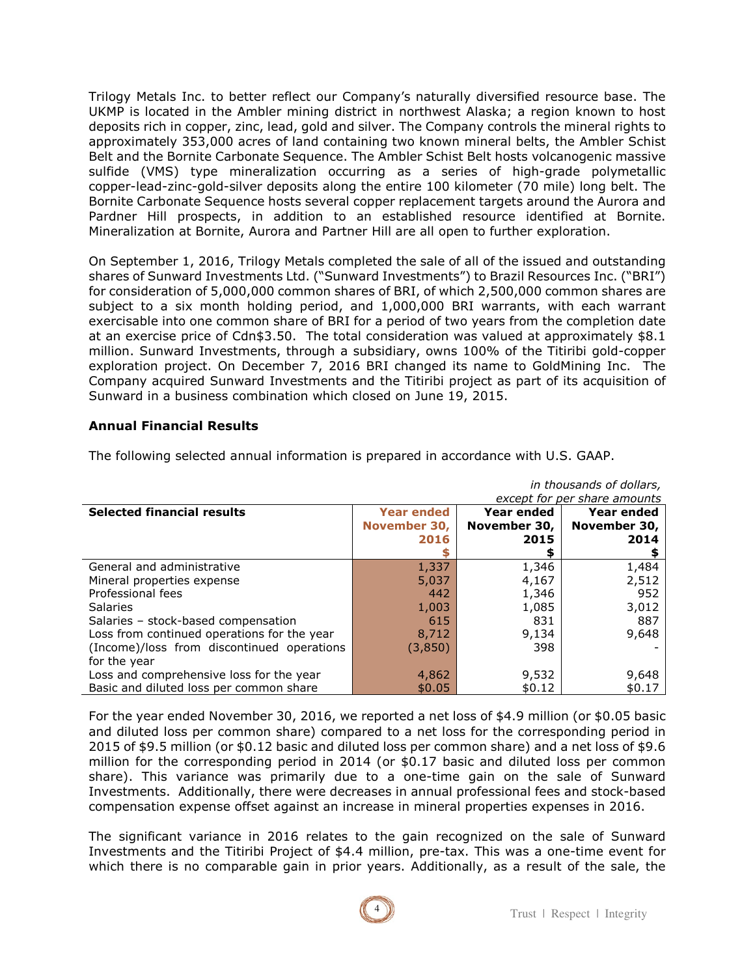Trilogy Metals Inc. to better reflect our Company's naturally diversified resource base. The UKMP is located in the Ambler mining district in northwest Alaska; a region known to host deposits rich in copper, zinc, lead, gold and silver. The Company controls the mineral rights to approximately 353,000 acres of land containing two known mineral belts, the Ambler Schist Belt and the Bornite Carbonate Sequence. The Ambler Schist Belt hosts volcanogenic massive sulfide (VMS) type mineralization occurring as a series of high-grade polymetallic copper-lead-zinc-gold-silver deposits along the entire 100 kilometer (70 mile) long belt. The Bornite Carbonate Sequence hosts several copper replacement targets around the Aurora and Pardner Hill prospects, in addition to an established resource identified at Bornite. Mineralization at Bornite, Aurora and Partner Hill are all open to further exploration.

On September 1, 2016, Trilogy Metals completed the sale of all of the issued and outstanding shares of Sunward Investments Ltd. ("Sunward Investments") to Brazil Resources Inc. ("BRI") for consideration of 5,000,000 common shares of BRI, of which 2,500,000 common shares are subject to a six month holding period, and 1,000,000 BRI warrants, with each warrant exercisable into one common share of BRI for a period of two years from the completion date at an exercise price of Cdn\$3.50. The total consideration was valued at approximately \$8.1 million. Sunward Investments, through a subsidiary, owns 100% of the Titiribi gold-copper exploration project. On December 7, 2016 BRI changed its name to GoldMining Inc. The Company acquired Sunward Investments and the Titiribi project as part of its acquisition of Sunward in a business combination which closed on June 19, 2015.

#### **Annual Financial Results**

| <u>III uluusullus ol uulluis,</u>           |                              |              |                   |
|---------------------------------------------|------------------------------|--------------|-------------------|
|                                             | except for per share amounts |              |                   |
| <b>Selected financial results</b>           | <b>Year ended</b>            | Year ended   | <b>Year ended</b> |
|                                             | November 30,                 | November 30, | November 30,      |
|                                             | 2016                         | 2015         | 2014              |
|                                             |                              |              |                   |
| General and administrative                  | 1,337                        | 1,346        | 1,484             |
| Mineral properties expense                  | 5,037                        | 4,167        | 2,512             |
| Professional fees                           | 442                          | 1,346        | 952               |
| <b>Salaries</b>                             | 1,003                        | 1,085        | 3,012             |
| Salaries - stock-based compensation         | 615                          | 831          | 887               |
| Loss from continued operations for the year | 8,712                        | 9,134        | 9,648             |
| (Income)/loss from discontinued operations  | (3,850)                      | 398          |                   |
| for the year                                |                              |              |                   |
| Loss and comprehensive loss for the year    | 4,862                        | 9,532        | 9,648             |
| Basic and diluted loss per common share     | \$0.05                       | \$0.12       | \$0.17            |

The following selected annual information is prepared in accordance with U.S. GAAP.

For the year ended November 30, 2016, we reported a net loss of \$4.9 million (or \$0.05 basic and diluted loss per common share) compared to a net loss for the corresponding period in 2015 of \$9.5 million (or \$0.12 basic and diluted loss per common share) and a net loss of \$9.6 million for the corresponding period in 2014 (or \$0.17 basic and diluted loss per common share). This variance was primarily due to a one-time gain on the sale of Sunward Investments. Additionally, there were decreases in annual professional fees and stock-based compensation expense offset against an increase in mineral properties expenses in 2016.

The significant variance in 2016 relates to the gain recognized on the sale of Sunward Investments and the Titiribi Project of \$4.4 million, pre-tax. This was a one-time event for which there is no comparable gain in prior years. Additionally, as a result of the sale, the



*in thousands of dollars,*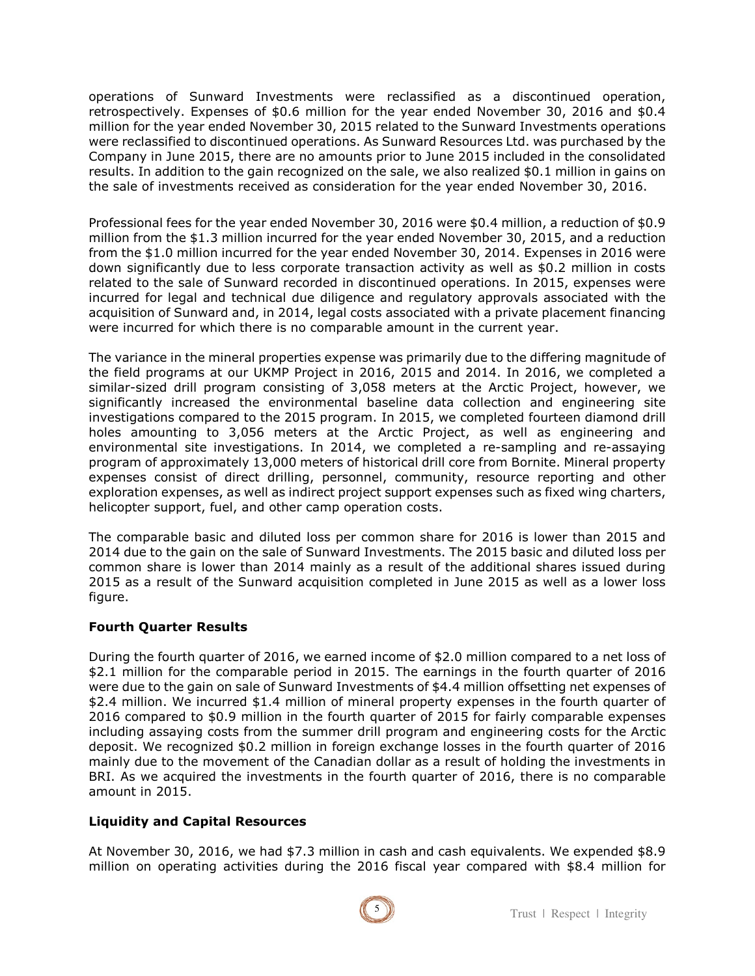operations of Sunward Investments were reclassified as a discontinued operation, retrospectively. Expenses of \$0.6 million for the year ended November 30, 2016 and \$0.4 million for the year ended November 30, 2015 related to the Sunward Investments operations were reclassified to discontinued operations. As Sunward Resources Ltd. was purchased by the Company in June 2015, there are no amounts prior to June 2015 included in the consolidated results. In addition to the gain recognized on the sale, we also realized \$0.1 million in gains on the sale of investments received as consideration for the year ended November 30, 2016.

Professional fees for the year ended November 30, 2016 were \$0.4 million, a reduction of \$0.9 million from the \$1.3 million incurred for the year ended November 30, 2015, and a reduction from the \$1.0 million incurred for the year ended November 30, 2014. Expenses in 2016 were down significantly due to less corporate transaction activity as well as \$0.2 million in costs related to the sale of Sunward recorded in discontinued operations. In 2015, expenses were incurred for legal and technical due diligence and regulatory approvals associated with the acquisition of Sunward and, in 2014, legal costs associated with a private placement financing were incurred for which there is no comparable amount in the current year.

The variance in the mineral properties expense was primarily due to the differing magnitude of the field programs at our UKMP Project in 2016, 2015 and 2014. In 2016, we completed a similar-sized drill program consisting of 3,058 meters at the Arctic Project, however, we significantly increased the environmental baseline data collection and engineering site investigations compared to the 2015 program. In 2015, we completed fourteen diamond drill holes amounting to 3,056 meters at the Arctic Project, as well as engineering and environmental site investigations. In 2014, we completed a re-sampling and re-assaying program of approximately 13,000 meters of historical drill core from Bornite. Mineral property expenses consist of direct drilling, personnel, community, resource reporting and other exploration expenses, as well as indirect project support expenses such as fixed wing charters, helicopter support, fuel, and other camp operation costs.

The comparable basic and diluted loss per common share for 2016 is lower than 2015 and 2014 due to the gain on the sale of Sunward Investments. The 2015 basic and diluted loss per common share is lower than 2014 mainly as a result of the additional shares issued during 2015 as a result of the Sunward acquisition completed in June 2015 as well as a lower loss figure.

## **Fourth Quarter Results**

During the fourth quarter of 2016, we earned income of \$2.0 million compared to a net loss of \$2.1 million for the comparable period in 2015. The earnings in the fourth quarter of 2016 were due to the gain on sale of Sunward Investments of \$4.4 million offsetting net expenses of \$2.4 million. We incurred \$1.4 million of mineral property expenses in the fourth quarter of 2016 compared to \$0.9 million in the fourth quarter of 2015 for fairly comparable expenses including assaying costs from the summer drill program and engineering costs for the Arctic deposit. We recognized \$0.2 million in foreign exchange losses in the fourth quarter of 2016 mainly due to the movement of the Canadian dollar as a result of holding the investments in BRI. As we acquired the investments in the fourth quarter of 2016, there is no comparable amount in 2015.

## **Liquidity and Capital Resources**

At November 30, 2016, we had \$7.3 million in cash and cash equivalents. We expended \$8.9 million on operating activities during the 2016 fiscal year compared with \$8.4 million for

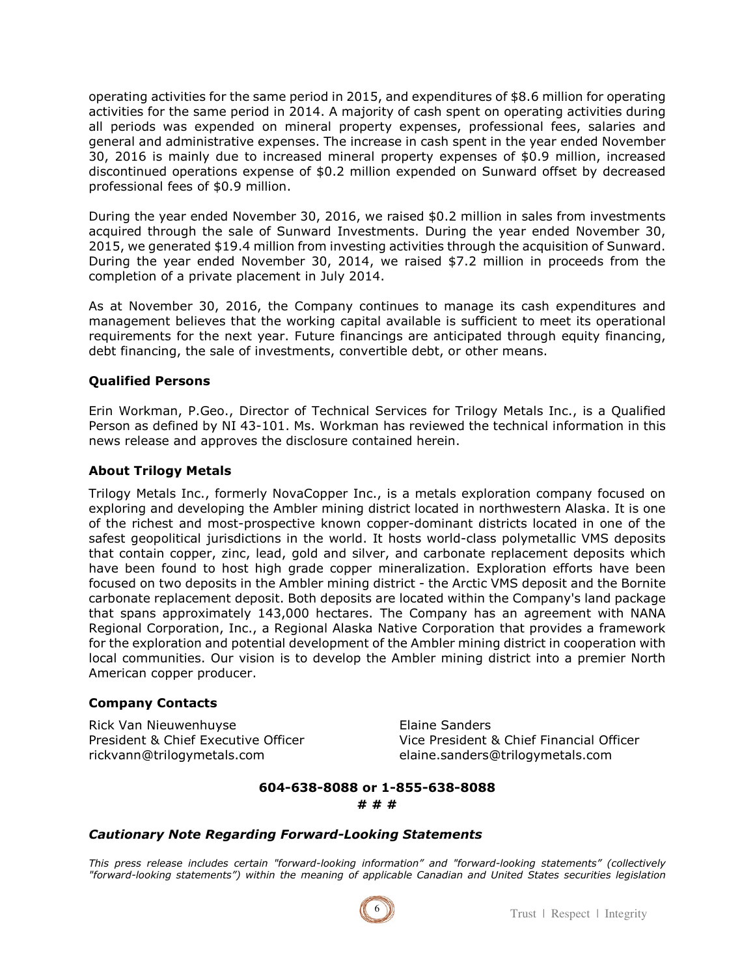operating activities for the same period in 2015, and expenditures of \$8.6 million for operating activities for the same period in 2014. A majority of cash spent on operating activities during all periods was expended on mineral property expenses, professional fees, salaries and general and administrative expenses. The increase in cash spent in the year ended November 30, 2016 is mainly due to increased mineral property expenses of \$0.9 million, increased discontinued operations expense of \$0.2 million expended on Sunward offset by decreased professional fees of \$0.9 million.

During the year ended November 30, 2016, we raised \$0.2 million in sales from investments acquired through the sale of Sunward Investments. During the year ended November 30, 2015, we generated \$19.4 million from investing activities through the acquisition of Sunward. During the year ended November 30, 2014, we raised \$7.2 million in proceeds from the completion of a private placement in July 2014.

As at November 30, 2016, the Company continues to manage its cash expenditures and management believes that the working capital available is sufficient to meet its operational requirements for the next year. Future financings are anticipated through equity financing, debt financing, the sale of investments, convertible debt, or other means.

## **Qualified Persons**

Erin Workman, P.Geo., Director of Technical Services for Trilogy Metals Inc., is a Qualified Person as defined by NI 43-101. Ms. Workman has reviewed the technical information in this news release and approves the disclosure contained herein.

## **About Trilogy Metals**

Trilogy Metals Inc., formerly NovaCopper Inc., is a metals exploration company focused on exploring and developing the Ambler mining district located in northwestern Alaska. It is one of the richest and most-prospective known copper-dominant districts located in one of the safest geopolitical jurisdictions in the world. It hosts world-class polymetallic VMS deposits that contain copper, zinc, lead, gold and silver, and carbonate replacement deposits which have been found to host high grade copper mineralization. Exploration efforts have been focused on two deposits in the Ambler mining district - the Arctic VMS deposit and the Bornite carbonate replacement deposit. Both deposits are located within the Company's land package that spans approximately 143,000 hectares. The Company has an agreement with NANA Regional Corporation, Inc., a Regional Alaska Native Corporation that provides a framework for the exploration and potential development of the Ambler mining district in cooperation with local communities. Our vision is to develop the Ambler mining district into a premier North American copper producer.

#### **Company Contacts**

Rick Van Nieuwenhuyse **Elaine Sanders** rickvann@trilogymetals.com elaine.sanders@trilogymetals.com

President & Chief Executive Officer Vice President & Chief Financial Officer

#### **604-638-8088 or 1-855-638-8088**

**# # #** 

#### *Cautionary Note Regarding Forward-Looking Statements*

*This press release includes certain "forward-looking information" and "forward-looking statements" (collectively "forward-looking statements") within the meaning of applicable Canadian and United States securities legislation*